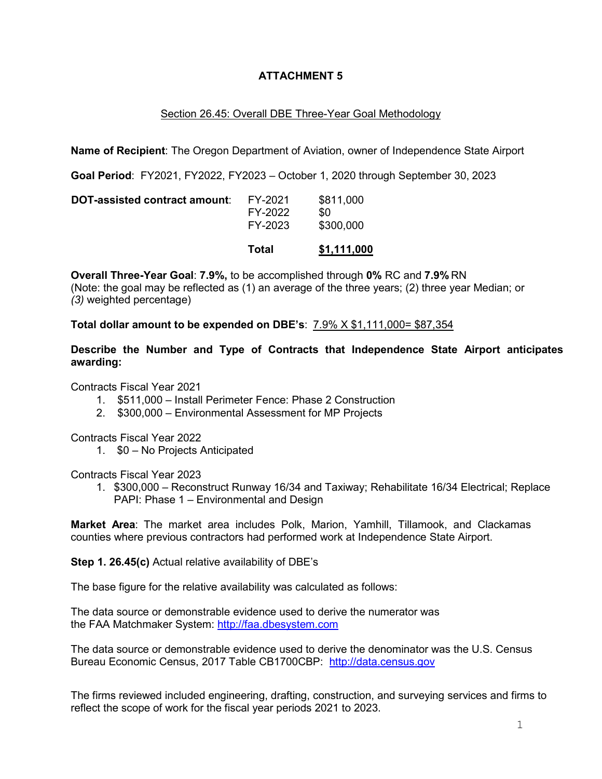## **ATTACHMENT 5**

## Section 26.45: Overall DBE Three-Year Goal Methodology

**Name of Recipient**: The Oregon Department of Aviation, owner of Independence State Airport

**Goal Period**: FY2021, FY2022, FY2023 – October 1, 2020 through September 30, 2023

|                               | Total                         | \$1,111,000                   |
|-------------------------------|-------------------------------|-------------------------------|
| DOT-assisted contract amount: | FY-2021<br>FY-2022<br>FY-2023 | \$811,000<br>\$0<br>\$300,000 |

**Overall Three-Year Goal**: **7.9%,** to be accomplished through **0%** RC and **7.9%** RN (Note: the goal may be reflected as (1) an average of the three years; (2) three year Median; or *(3)* weighted percentage)

**Total dollar amount to be expended on DBE's**: 7.9% X \$1,111,000= \$87,354

**Describe the Number and Type of Contracts that Independence State Airport anticipates awarding:**

Contracts Fiscal Year 2021

- 1. \$511,000 Install Perimeter Fence: Phase 2 Construction
- 2. \$300,000 Environmental Assessment for MP Projects

Contracts Fiscal Year 2022

1. \$0 – No Projects Anticipated

Contracts Fiscal Year 2023

1. \$300,000 – Reconstruct Runway 16/34 and Taxiway; Rehabilitate 16/34 Electrical; Replace PAPI: Phase 1 – Environmental and Design

**Market Area**: The market area includes Polk, Marion, Yamhill, Tillamook, and Clackamas counties where previous contractors had performed work at Independence State Airport.

**Step 1. 26.45(c)** Actual relative availability of DBE's

The base figure for the relative availability was calculated as follows:

The data source or demonstrable evidence used to derive the numerator was the FAA Matchmaker System: [http://faa.dbesystem.com](http://faa.dbesystem.com/)

The data source or demonstrable evidence used to derive the denominator was the U.S. Census Bureau Economic Census, 2017 Table CB1700CBP: [http://data.census.gov](http://data.census.gov/)

The firms reviewed included engineering, drafting, construction, and surveying services and firms to reflect the scope of work for the fiscal year periods 2021 to 2023.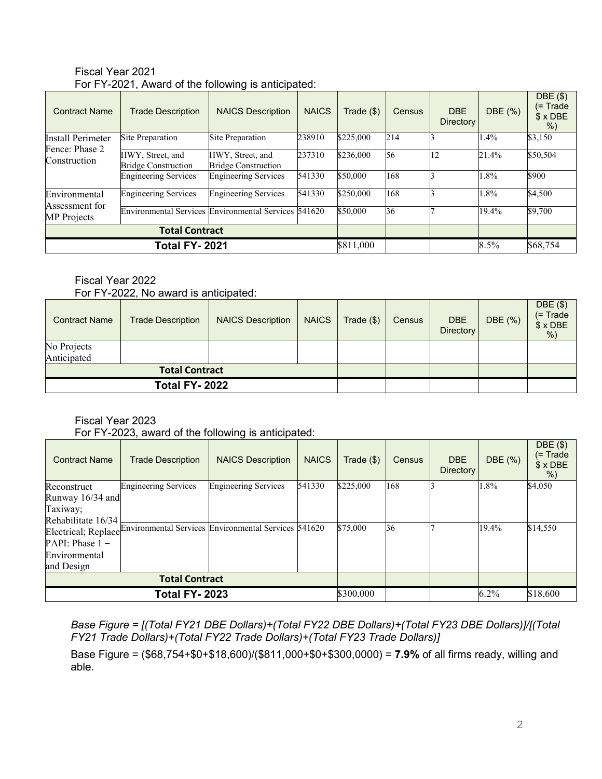| <b>Contract Name</b>           | <b>Trade Description</b>                             | <b>NAICS Description</b>                       | <b>NAICS</b> | Trade (\$) | Census | <b>DBE</b><br><b>Directory</b> | DBE (%)  | DBE(\$)<br>(= Trade<br>$$ \times$ DBE<br>$%$ ) |
|--------------------------------|------------------------------------------------------|------------------------------------------------|--------------|------------|--------|--------------------------------|----------|------------------------------------------------|
| <b>Install Perimeter</b>       | Site Preparation                                     | Site Preparation                               | 238910       | \$225,000  | 214    |                                | 1.4%     | \$3,150                                        |
| Fence: Phase 2<br>Construction | HWY, Street, and<br><b>Bridge Construction</b>       | HWY, Street, and<br><b>Bridge Construction</b> | 237310       | \$236,000  | 56     | 12                             | 21.4%    | \$50,504                                       |
|                                | <b>Engineering Services</b>                          | <b>Engineering Services</b>                    | 541330       | \$50,000   | 168    |                                | 1.8%     | \$900                                          |
| Environmental                  | <b>Engineering Services</b>                          | <b>Engineering Services</b>                    | 541330       | \$250,000  | 168    |                                | 1.8%     | \$4,500                                        |
| Assessment for<br>MP Projects  | Environmental Services Environmental Services 541620 |                                                |              | \$50,000   | 36     |                                | 19.4%    | \$9,700                                        |
|                                | <b>Total Contract</b>                                |                                                |              |            |        |                                |          |                                                |
| <b>Total FY-2021</b>           |                                                      |                                                | \$811,000    |            |        | 8.5%                           | \$68,754 |                                                |

Fiscal Year 2021 For FY-2021, Award of the following is anticipated:

#### Fiscal Year 2022 For FY-2022, No award is anticipated:

| <b>Contract Name</b> | <b>Trade Description</b> | <b>NAICS Description</b> | <b>NAICS</b> | Trade $($)$ | Census | <b>DBE</b><br><b>Directory</b> | DBE (%) | $DBE($ \$)<br>$(= Trade)$<br>$$×$ DBE<br>$%$ ) |
|----------------------|--------------------------|--------------------------|--------------|-------------|--------|--------------------------------|---------|------------------------------------------------|
| No Projects          |                          |                          |              |             |        |                                |         |                                                |
| Anticipated          |                          |                          |              |             |        |                                |         |                                                |
|                      | <b>Total Contract</b>    |                          |              |             |        |                                |         |                                                |
| <b>Total FY-2022</b> |                          |                          |              |             |        |                                |         |                                                |

# Fiscal Year 2023

For FY-2023, award of the following is anticipated:

| <b>Contract Name</b>  | <b>Trade Description</b>                                                 | <b>NAICS Description</b>    | <b>NAICS</b> | Trade (\$) | <b>Census</b> | <b>DBE</b><br>Directory | DBE (%)  | $DBE($ \$)<br>(= Trade<br>$$ \times$ DBE<br>% |
|-----------------------|--------------------------------------------------------------------------|-----------------------------|--------------|------------|---------------|-------------------------|----------|-----------------------------------------------|
| Reconstruct           | <b>Engineering Services</b>                                              | <b>Engineering Services</b> | 541330       | \$225,000  | 168           |                         | 1.8%     | \$4,050                                       |
| Runway 16/34 and      |                                                                          |                             |              |            |               |                         |          |                                               |
| Taxiway;              |                                                                          |                             |              |            |               |                         |          |                                               |
| Rehabilitate 16/34    |                                                                          |                             |              |            |               |                         |          |                                               |
|                       | Electrical; Replace Environmental Services Environmental Services 541620 |                             |              | \$75,000   | 36            |                         | 19.4%    | \$14,550                                      |
| $PAPI: Phase 1 -$     |                                                                          |                             |              |            |               |                         |          |                                               |
| Environmental         |                                                                          |                             |              |            |               |                         |          |                                               |
| and Design            |                                                                          |                             |              |            |               |                         |          |                                               |
| <b>Total Contract</b> |                                                                          |                             |              |            |               |                         |          |                                               |
| <b>Total FY- 2023</b> |                                                                          |                             | \$300,000    |            |               | $6.2\%$                 | \$18,600 |                                               |

*Base Figure = [(Total FY21 DBE Dollars)+(Total FY22 DBE Dollars)+(Total FY23 DBE Dollars)]/[(Total FY21 Trade Dollars)+(Total FY22 Trade Dollars)+(Total FY23 Trade Dollars)]*

Base Figure = (\$68,754+\$0+\$18,600)/(\$811,000+\$0+\$300,0000) = **7.9%** of all firms ready, willing and able.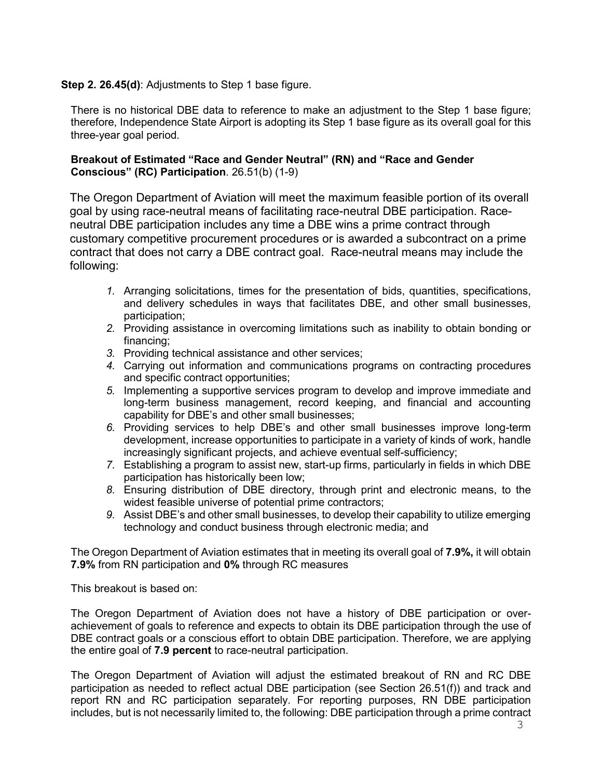## **Step 2. 26.45(d)**: Adjustments to Step 1 base figure.

There is no historical DBE data to reference to make an adjustment to the Step 1 base figure; therefore, Independence State Airport is adopting its Step 1 base figure as its overall goal for this three-year goal period.

#### **Breakout of Estimated "Race and Gender Neutral" (RN) and "Race and Gender Conscious" (RC) Participation**. 26.51(b) (1-9)

The Oregon Department of Aviation will meet the maximum feasible portion of its overall goal by using race-neutral means of facilitating race-neutral DBE participation. Raceneutral DBE participation includes any time a DBE wins a prime contract through customary competitive procurement procedures or is awarded a subcontract on a prime contract that does not carry a DBE contract goal. Race-neutral means may include the following:

- *1.* Arranging solicitations, times for the presentation of bids, quantities, specifications, and delivery schedules in ways that facilitates DBE, and other small businesses, participation;
- *2.* Providing assistance in overcoming limitations such as inability to obtain bonding or financing;
- *3.* Providing technical assistance and other services;
- *4.* Carrying out information and communications programs on contracting procedures and specific contract opportunities;
- *5.* Implementing a supportive services program to develop and improve immediate and long-term business management, record keeping, and financial and accounting capability for DBE's and other small businesses;
- *6.* Providing services to help DBE's and other small businesses improve long-term development, increase opportunities to participate in a variety of kinds of work, handle increasingly significant projects, and achieve eventual self-sufficiency;
- *7.* Establishing a program to assist new, start-up firms, particularly in fields in which DBE participation has historically been low;
- *8.* Ensuring distribution of DBE directory, through print and electronic means, to the widest feasible universe of potential prime contractors;
- *9.* Assist DBE's and other small businesses, to develop their capability to utilize emerging technology and conduct business through electronic media; and

The Oregon Department of Aviation estimates that in meeting its overall goal of **7.9%,** it will obtain **7.9%** from RN participation and **0%** through RC measures

This breakout is based on:

The Oregon Department of Aviation does not have a history of DBE participation or overachievement of goals to reference and expects to obtain its DBE participation through the use of DBE contract goals or a conscious effort to obtain DBE participation. Therefore, we are applying the entire goal of **7.9 percent** to race-neutral participation.

The Oregon Department of Aviation will adjust the estimated breakout of RN and RC DBE participation as needed to reflect actual DBE participation (see Section 26.51(f)) and track and report RN and RC participation separately. For reporting purposes, RN DBE participation includes, but is not necessarily limited to, the following: DBE participation through a prime contract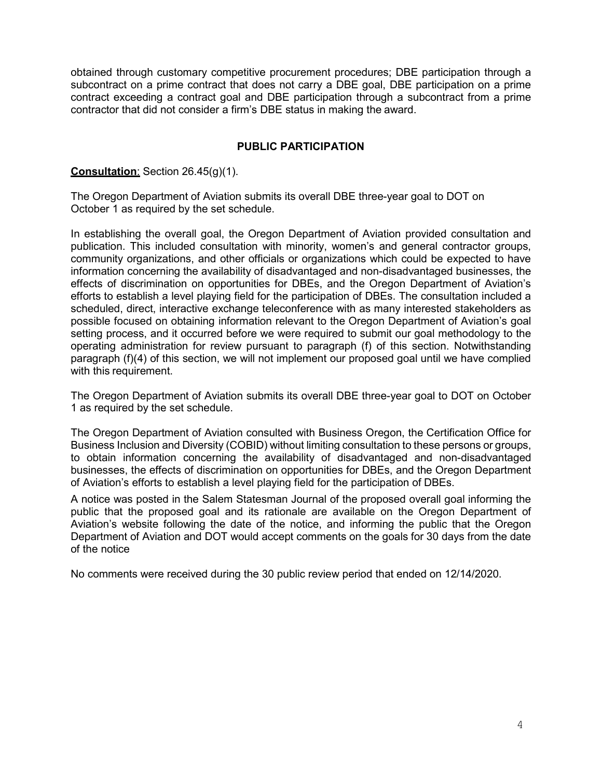obtained through customary competitive procurement procedures; DBE participation through a subcontract on a prime contract that does not carry a DBE goal, DBE participation on a prime contract exceeding a contract goal and DBE participation through a subcontract from a prime contractor that did not consider a firm's DBE status in making the award.

## **PUBLIC PARTICIPATION**

#### **Consultation**: Section 26.45(g)(1).

The Oregon Department of Aviation submits its overall DBE three-year goal to DOT on October 1 as required by the set schedule.

In establishing the overall goal, the Oregon Department of Aviation provided consultation and publication. This included consultation with minority, women's and general contractor groups, community organizations, and other officials or organizations which could be expected to have information concerning the availability of disadvantaged and non-disadvantaged businesses, the effects of discrimination on opportunities for DBEs, and the Oregon Department of Aviation's efforts to establish a level playing field for the participation of DBEs. The consultation included a scheduled, direct, interactive exchange teleconference with as many interested stakeholders as possible focused on obtaining information relevant to the Oregon Department of Aviation's goal setting process, and it occurred before we were required to submit our goal methodology to the operating administration for review pursuant to paragraph (f) of this section. Notwithstanding paragraph (f)(4) of this section, we will not implement our proposed goal until we have complied with this requirement.

The Oregon Department of Aviation submits its overall DBE three-year goal to DOT on October 1 as required by the set schedule.

The Oregon Department of Aviation consulted with Business Oregon, the Certification Office for Business Inclusion and Diversity (COBID) without limiting consultation to these persons or groups, to obtain information concerning the availability of disadvantaged and non-disadvantaged businesses, the effects of discrimination on opportunities for DBEs, and the Oregon Department of Aviation's efforts to establish a level playing field for the participation of DBEs.

A notice was posted in the Salem Statesman Journal of the proposed overall goal informing the public that the proposed goal and its rationale are available on the Oregon Department of Aviation's website following the date of the notice, and informing the public that the Oregon Department of Aviation and DOT would accept comments on the goals for 30 days from the date of the notice

No comments were received during the 30 public review period that ended on 12/14/2020.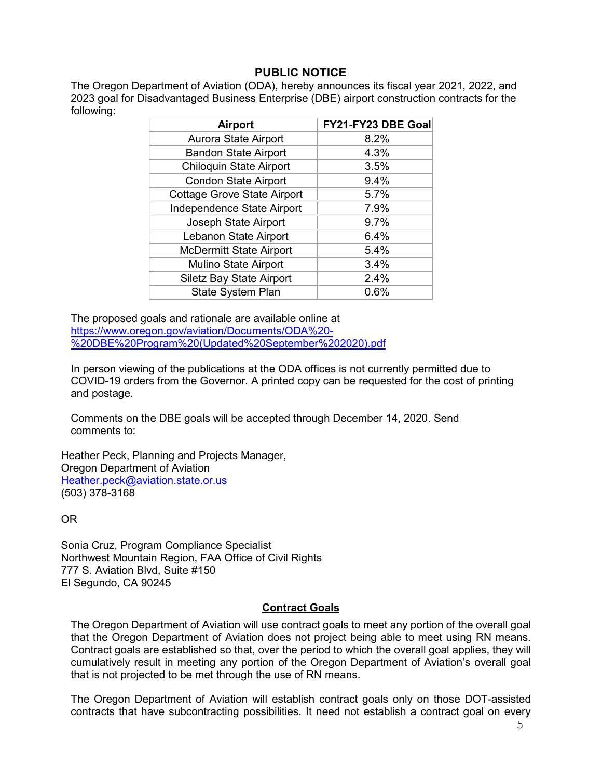# **PUBLIC NOTICE**

The Oregon Department of Aviation (ODA), hereby announces its fiscal year 2021, 2022, and 2023 goal for Disadvantaged Business Enterprise (DBE) airport construction contracts for the following:

| <b>Airport</b>                     | FY21-FY23 DBE Goal |
|------------------------------------|--------------------|
| Aurora State Airport               | 8.2%               |
| <b>Bandon State Airport</b>        | 4.3%               |
| <b>Chiloquin State Airport</b>     | 3.5%               |
| <b>Condon State Airport</b>        | 9.4%               |
| <b>Cottage Grove State Airport</b> | 5.7%               |
| Independence State Airport         | 7.9%               |
| Joseph State Airport               | 9.7%               |
| Lebanon State Airport              | 6.4%               |
| <b>McDermitt State Airport</b>     | 5.4%               |
| <b>Mulino State Airport</b>        | 3.4%               |
| <b>Siletz Bay State Airport</b>    | 2.4%               |
| <b>State System Plan</b>           | 0.6%               |

The proposed goals and rationale are available online at [https://www.oregon.gov/aviation/Documents/ODA%20-](https://www.oregon.gov/aviation/Documents/ODA%20-%20DBE%20Program%20(Updated%20September%202020).pdf) [%20DBE%20Program%20\(Updated%20September%202020\).pdf](https://www.oregon.gov/aviation/Documents/ODA%20-%20DBE%20Program%20(Updated%20September%202020).pdf)

In person viewing of the publications at the ODA offices is not currently permitted due to COVID-19 orders from the Governor. A printed copy can be requested for the cost of printing and postage.

Comments on the DBE goals will be accepted through December 14, 2020. Send comments to:

Heather Peck, Planning and Projects Manager, Oregon Department of Aviation [Heather.peck@aviation.state.or.us](mailto:Heather.peck@aviation.state.or.us) (503) 378-3168

OR

Sonia Cruz, Program Compliance Specialist Northwest Mountain Region, FAA Office of Civil Rights 777 S. Aviation Blvd, Suite #150 El Segundo, CA 90245

### **Contract Goals**

The Oregon Department of Aviation will use contract goals to meet any portion of the overall goal that the Oregon Department of Aviation does not project being able to meet using RN means. Contract goals are established so that, over the period to which the overall goal applies, they will cumulatively result in meeting any portion of the Oregon Department of Aviation's overall goal that is not projected to be met through the use of RN means.

The Oregon Department of Aviation will establish contract goals only on those DOT-assisted contracts that have subcontracting possibilities. It need not establish a contract goal on every